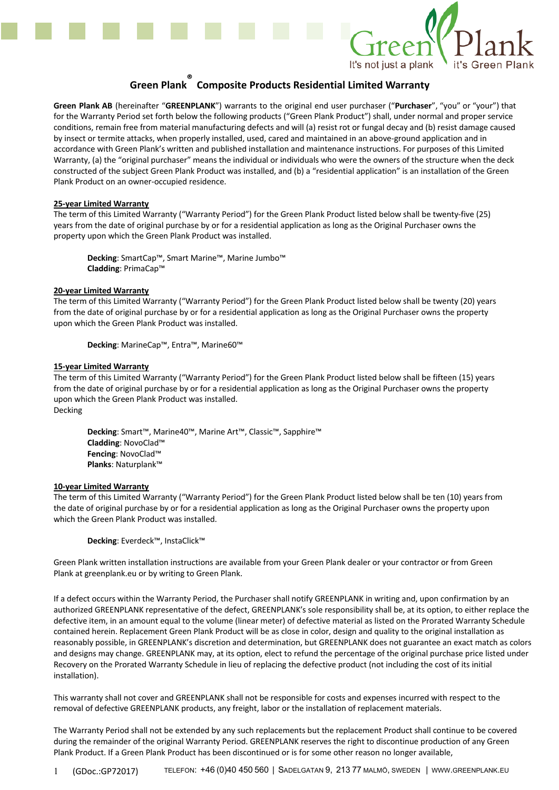

# **Green Plank ® Composite Products Residential Limited Warranty**

**Green Plank AB** (hereinafter "**GREENPLANK**") warrants to the original end user purchaser ("**Purchaser**", "you" or "your") that for the Warranty Period set forth below the following products ("Green Plank Product") shall, under normal and proper service conditions, remain free from material manufacturing defects and will (a) resist rot or fungal decay and (b) resist damage caused by insect or termite attacks, when properly installed, used, cared and maintained in an above-ground application and in accordance with Green Plank's written and published installation and maintenance instructions. For purposes of this Limited Warranty, (a) the "original purchaser" means the individual or individuals who were the owners of the structure when the deck constructed of the subject Green Plank Product was installed, and (b) a "residential application" is an installation of the Green Plank Product on an owner-occupied residence.

### **25-year Limited Warranty**

The term of this Limited Warranty ("Warranty Period") for the Green Plank Product listed below shall be twenty-five (25) years from the date of original purchase by or for a residential application as long as the Original Purchaser owns the property upon which the Green Plank Product was installed.

**Decking**: SmartCap™, Smart Marine™, Marine Jumbo™ **Cladding**: PrimaCap™

#### **20-year Limited Warranty**

The term of this Limited Warranty ("Warranty Period") for the Green Plank Product listed below shall be twenty (20) years from the date of original purchase by or for a residential application as long as the Original Purchaser owns the property upon which the Green Plank Product was installed.

**Decking**: MarineCap™, Entra™, Marine60™

### **15-year Limited Warranty**

The term of this Limited Warranty ("Warranty Period") for the Green Plank Product listed below shall be fifteen (15) years from the date of original purchase by or for a residential application as long as the Original Purchaser owns the property upon which the Green Plank Product was installed. Decking

**Decking**: Smart™, Marine40™, Marine Art™, Classic™, Sapphire™ **Cladding**: NovoClad™ **Fencing**: NovoClad™ **Planks**: Naturplank™

#### **10-year Limited Warranty**

The term of this Limited Warranty ("Warranty Period") for the Green Plank Product listed below shall be ten (10) years from the date of original purchase by or for a residential application as long as the Original Purchaser owns the property upon which the Green Plank Product was installed.

**Decking**: Everdeck™, InstaClick™

Green Plank written installation instructions are available from your Green Plank dealer or your contractor or from Green Plank at greenplank.eu or by writing to Green Plank.

If a defect occurs within the Warranty Period, the Purchaser shall notify GREENPLANK in writing and, upon confirmation by an authorized GREENPLANK representative of the defect, GREENPLANK's sole responsibility shall be, at its option, to either replace the defective item, in an amount equal to the volume (linear meter) of defective material as listed on the Prorated Warranty Schedule contained herein. Replacement Green Plank Product will be as close in color, design and quality to the original installation as reasonably possible, in GREENPLANK's discretion and determination, but GREENPLANK does not guarantee an exact match as colors and designs may change. GREENPLANK may, at its option, elect to refund the percentage of the original purchase price listed under Recovery on the Prorated Warranty Schedule in lieu of replacing the defective product (not including the cost of its initial installation).

This warranty shall not cover and GREENPLANK shall not be responsible for costs and expenses incurred with respect to the removal of defective GREENPLANK products, any freight, labor or the installation of replacement materials.

The Warranty Period shall not be extended by any such replacements but the replacement Product shall continue to be covered during the remainder of the original Warranty Period. GREENPLANK reserves the right to discontinue production of any Green Plank Product. If a Green Plank Product has been discontinued or is for some other reason no longer available,